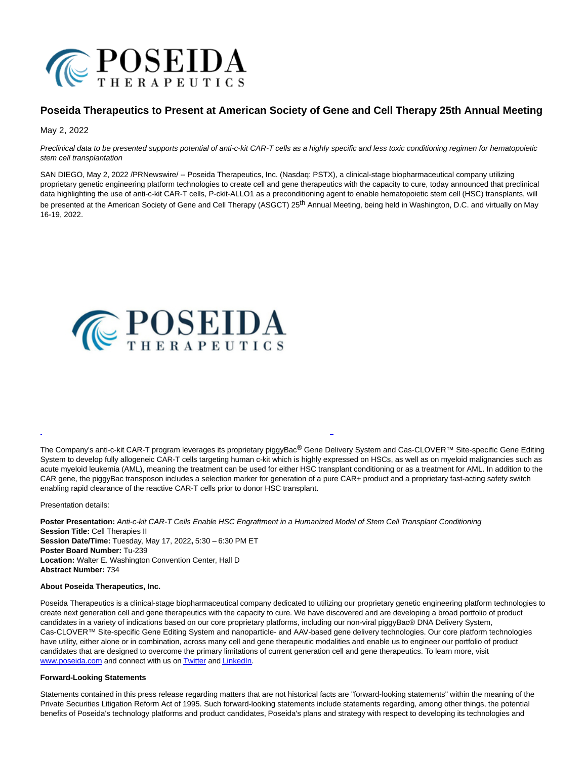

## **Poseida Therapeutics to Present at American Society of Gene and Cell Therapy 25th Annual Meeting**

May 2, 2022

Preclinical data to be presented supports potential of anti-c-kit CAR-T cells as a highly specific and less toxic conditioning regimen for hematopoietic stem cell transplantation

SAN DIEGO, May 2, 2022 /PRNewswire/ -- Poseida Therapeutics, Inc. (Nasdaq: PSTX), a clinical-stage biopharmaceutical company utilizing proprietary genetic engineering platform technologies to create cell and gene therapeutics with the capacity to cure, today announced that preclinical data highlighting the use of anti-c-kit CAR-T cells, P-ckit-ALLO1 as a preconditioning agent to enable hematopoietic stem cell (HSC) transplants, will be presented at the American Society of Gene and Cell Therapy (ASGCT) 25<sup>th</sup> Annual Meeting, being held in Washington, D.C. and virtually on May 16-19, 2022.



The Company's anti-c-kit CAR-T program leverages its proprietary piggyBac<sup>®</sup> Gene Delivery System and Cas-CLOVER™ Site-specific Gene Editing System to develop fully allogeneic CAR-T cells targeting human c-kit which is highly expressed on HSCs, as well as on myeloid malignancies such as acute myeloid leukemia (AML), meaning the treatment can be used for either HSC transplant conditioning or as a treatment for AML. In addition to the CAR gene, the piggyBac transposon includes a selection marker for generation of a pure CAR+ product and a proprietary fast-acting safety switch enabling rapid clearance of the reactive CAR-T cells prior to donor HSC transplant.

L

Presentation details:

**Poster Presentation:** Anti-c-kit CAR-T Cells Enable HSC Engraftment in a Humanized Model of Stem Cell Transplant Conditioning **Session Title:** Cell Therapies II **Session Date/Time:** Tuesday, May 17, 2022**,** 5:30 – 6:30 PM ET **Poster Board Number:** Tu-239 **Location:** Walter E. Washington Convention Center, Hall D **Abstract Number:** 734

## **About Poseida Therapeutics, Inc.**

Poseida Therapeutics is a clinical-stage biopharmaceutical company dedicated to utilizing our proprietary genetic engineering platform technologies to create next generation cell and gene therapeutics with the capacity to cure. We have discovered and are developing a broad portfolio of product candidates in a variety of indications based on our core proprietary platforms, including our non-viral piggyBac® DNA Delivery System, Cas-CLOVER™ Site-specific Gene Editing System and nanoparticle- and AAV-based gene delivery technologies. Our core platform technologies have utility, either alone or in combination, across many cell and gene therapeutic modalities and enable us to engineer our portfolio of product candidates that are designed to overcome the primary limitations of current generation cell and gene therapeutics. To learn more, visit [www.poseida.com a](https://c212.net/c/link/?t=0&l=en&o=3523024-1&h=2052256926&u=http%3A%2F%2Fwww.poseida.coma%2F&a=www.poseida.com)nd connect with us o[n Twitter a](https://c212.net/c/link/?t=0&l=en&o=3523024-1&h=223625945&u=https%3A%2F%2Ftwitter.com%2FPoseidaThera&a=Twitter)n[d LinkedIn.](https://c212.net/c/link/?t=0&l=en&o=3523024-1&h=3977192180&u=https%3A%2F%2Fwww.linkedin.com%2Fcompany%2Fposeida-therapeutics-inc-%2F&a=LinkedIn)

## **Forward-Looking Statements**

Statements contained in this press release regarding matters that are not historical facts are "forward-looking statements" within the meaning of the Private Securities Litigation Reform Act of 1995. Such forward-looking statements include statements regarding, among other things, the potential benefits of Poseida's technology platforms and product candidates, Poseida's plans and strategy with respect to developing its technologies and